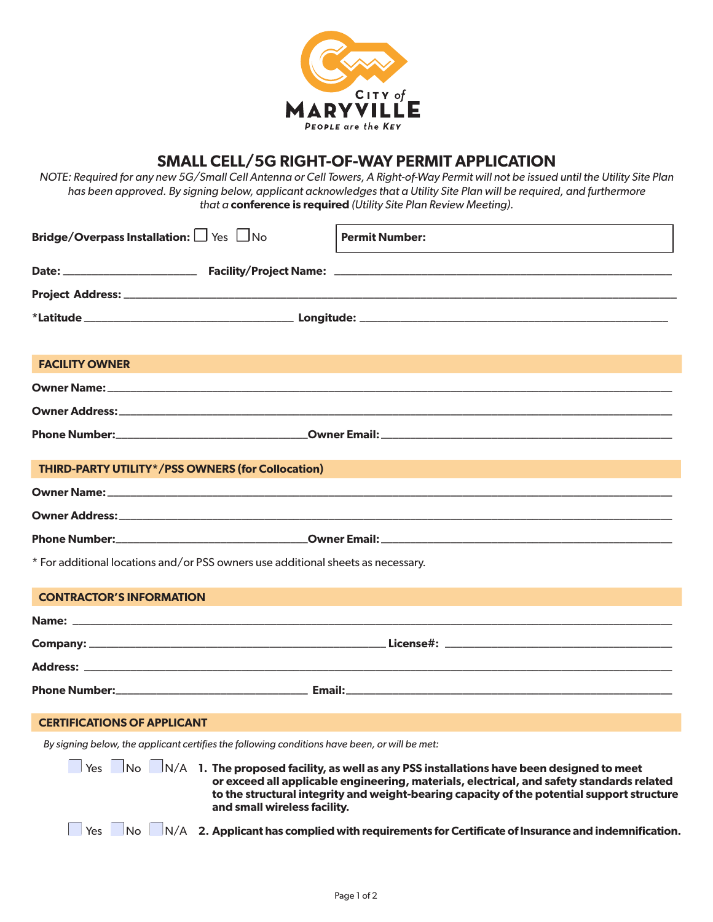

# **SMALL CELL/5G RIGHT-OF-WAY PERMIT APPLICATION**

*NOTE: Required for any new 5G/Small Cell Antenna or Cell Towers, A Right-of-Way Permit will not be issued until the Utility Site Plan*  has been approved. By signing below, applicant acknowledges that a Utility Site Plan will be required, and furthermore *that a* **conference is required** *(Utility Site Plan Review Meeting).*

| Bridge/Overpass Installation: Similar Pres                                                                      |  | <b>Permit Number:</b> |  |  |
|-----------------------------------------------------------------------------------------------------------------|--|-----------------------|--|--|
|                                                                                                                 |  |                       |  |  |
|                                                                                                                 |  |                       |  |  |
|                                                                                                                 |  |                       |  |  |
| <b>FACILITY OWNER</b>                                                                                           |  |                       |  |  |
|                                                                                                                 |  |                       |  |  |
|                                                                                                                 |  |                       |  |  |
|                                                                                                                 |  |                       |  |  |
| THIRD-PARTY UTILITY*/PSS OWNERS (for Collocation)                                                               |  |                       |  |  |
|                                                                                                                 |  |                       |  |  |
|                                                                                                                 |  |                       |  |  |
|                                                                                                                 |  |                       |  |  |
| * For additional locations and/or PSS owners use additional sheets as necessary.                                |  |                       |  |  |
| <b>CONTRACTOR'S INFORMATION</b>                                                                                 |  |                       |  |  |
|                                                                                                                 |  |                       |  |  |
|                                                                                                                 |  |                       |  |  |
|                                                                                                                 |  |                       |  |  |
|                                                                                                                 |  |                       |  |  |
| <b>CERTIFICATIONS OF APPLICANT</b>                                                                              |  |                       |  |  |
| By signing below, the applicant certifies the following conditions have been, or will be met:                   |  |                       |  |  |
| the contract of the contract of the contract of the contract of the contract of the contract of the contract of |  |                       |  |  |

☐ Yes ☐No ☐N/A **1. The proposed facility, as well as any PSS installations have been designed to meet or exceed all applicable engineering, materials, electrical, and safety standards related to the structural integrity and weight-bearing capacity of the potential support structure and small wireless facility.**

- 
- Yes ■No ■N/A **2. Applicant has complied with requirements for Certificate of Insurance and indemnification.**